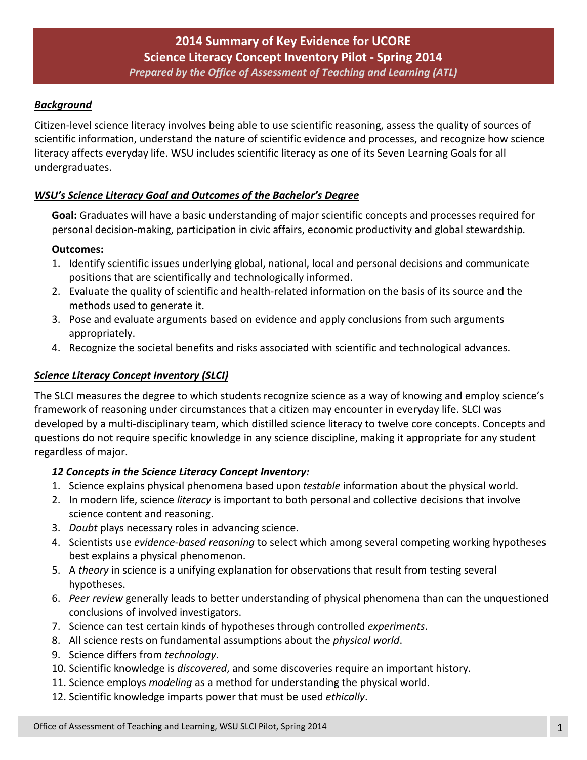# *Background*

Citizen-level science literacy involves being able to use scientific reasoning, assess the quality of sources of scientific information, understand the nature of scientific evidence and processes, and recognize how science literacy affects everyday life. WSU includes scientific literacy as one of its Seven Learning Goals for all undergraduates.

## *WSU's Science Literacy Goal and Outcomes of the Bachelor's Degree*

**Goal:** Graduates will have a basic understanding of major scientific concepts and processes required for personal decision-making, participation in civic affairs, economic productivity and global stewardship*.* 

## **Outcomes:**

- 1. Identify scientific issues underlying global, national, local and personal decisions and communicate positions that are scientifically and technologically informed.
- 2. Evaluate the quality of scientific and health-related information on the basis of its source and the methods used to generate it.
- 3. Pose and evaluate arguments based on evidence and apply conclusions from such arguments appropriately.
- 4. Recognize the societal benefits and risks associated with scientific and technological advances.

# *Science Literacy Concept Inventory (SLCI)*

The SLCI measures the degree to which students recognize science as a way of knowing and employ science's framework of reasoning under circumstances that a citizen may encounter in everyday life. SLCI was developed by a multi-disciplinary team, which distilled science literacy to twelve core concepts. Concepts and questions do not require specific knowledge in any science discipline, making it appropriate for any student regardless of major.

## *12 Concepts in the Science Literacy Concept Inventory:*

- 1. Science explains physical phenomena based upon *testable* information about the physical world.
- 2. In modern life, science *literacy* is important to both personal and collective decisions that involve science content and reasoning.
- 3. *Doubt* plays necessary roles in advancing science.
- 4. Scientists use *evidence-based reasoning* to select which among several competing working hypotheses best explains a physical phenomenon.
- 5. A *theory* in science is a unifying explanation for observations that result from testing several hypotheses.
- 6. *Peer review* generally leads to better understanding of physical phenomena than can the unquestioned conclusions of involved investigators.
- 7. Science can test certain kinds of hypotheses through controlled *experiments*.
- 8. All science rests on fundamental assumptions about the *physical world*.
- 9. Science differs from *technology*.
- 10. Scientific knowledge is *discovered*, and some discoveries require an important history.
- 11. Science employs *modeling* as a method for understanding the physical world.
- 12. Scientific knowledge imparts power that must be used *ethically*.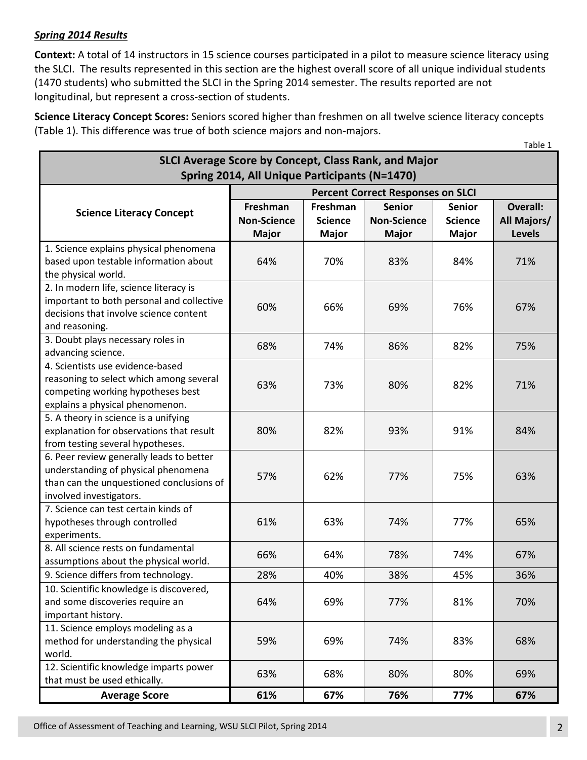# *Spring 2014 Results*

**Context:** A total of 14 instructors in 15 science courses participated in a pilot to measure science literacy using the SLCI. The results represented in this section are the highest overall score of all unique individual students (1470 students) who submitted the SLCI in the Spring 2014 semester. The results reported are not longitudinal, but represent a cross-section of students.

**Science Literacy Concept Scores:** Seniors scored higher than freshmen on all twelve science literacy concepts (Table 1). This difference was true of both science majors and non-majors.

| SLCI Average Score by Concept, Class Rank, and Major                                                                                                   |                                                |                                            |                                                     |                                                 |                                                 |  |  |
|--------------------------------------------------------------------------------------------------------------------------------------------------------|------------------------------------------------|--------------------------------------------|-----------------------------------------------------|-------------------------------------------------|-------------------------------------------------|--|--|
| Spring 2014, All Unique Participants (N=1470)                                                                                                          |                                                |                                            |                                                     |                                                 |                                                 |  |  |
|                                                                                                                                                        | <b>Percent Correct Responses on SLCI</b>       |                                            |                                                     |                                                 |                                                 |  |  |
| <b>Science Literacy Concept</b>                                                                                                                        | Freshman<br><b>Non-Science</b><br><b>Major</b> | Freshman<br><b>Science</b><br><b>Major</b> | <b>Senior</b><br><b>Non-Science</b><br><b>Major</b> | <b>Senior</b><br><b>Science</b><br><b>Major</b> | <b>Overall:</b><br>All Majors/<br><b>Levels</b> |  |  |
| 1. Science explains physical phenomena<br>based upon testable information about<br>the physical world.                                                 | 64%                                            | 70%                                        | 83%                                                 | 84%                                             | 71%                                             |  |  |
| 2. In modern life, science literacy is<br>important to both personal and collective<br>decisions that involve science content<br>and reasoning.        | 60%                                            | 66%                                        | 69%                                                 | 76%                                             | 67%                                             |  |  |
| 3. Doubt plays necessary roles in<br>advancing science.                                                                                                | 68%                                            | 74%                                        | 86%                                                 | 82%                                             | 75%                                             |  |  |
| 4. Scientists use evidence-based<br>reasoning to select which among several<br>competing working hypotheses best<br>explains a physical phenomenon.    | 63%                                            | 73%                                        | 80%                                                 | 82%                                             | 71%                                             |  |  |
| 5. A theory in science is a unifying<br>explanation for observations that result<br>from testing several hypotheses.                                   | 80%                                            | 82%                                        | 93%                                                 | 91%                                             | 84%                                             |  |  |
| 6. Peer review generally leads to better<br>understanding of physical phenomena<br>than can the unquestioned conclusions of<br>involved investigators. | 57%                                            | 62%                                        | 77%                                                 | 75%                                             | 63%                                             |  |  |
| 7. Science can test certain kinds of<br>hypotheses through controlled<br>experiments.                                                                  | 61%                                            | 63%                                        | 74%                                                 | 77%                                             | 65%                                             |  |  |
| 8. All science rests on fundamental<br>assumptions about the physical world.                                                                           | 66%                                            | 64%                                        | 78%                                                 | 74%                                             | 67%                                             |  |  |
| 9. Science differs from technology.                                                                                                                    | 28%                                            | 40%                                        | 38%                                                 | 45%                                             | 36%                                             |  |  |
| 10. Scientific knowledge is discovered,<br>and some discoveries require an<br>important history.                                                       | 64%                                            | 69%                                        | 77%                                                 | 81%                                             | 70%                                             |  |  |
| 11. Science employs modeling as a<br>method for understanding the physical<br>world.                                                                   | 59%                                            | 69%                                        | 74%                                                 | 83%                                             | 68%                                             |  |  |
| 12. Scientific knowledge imparts power<br>that must be used ethically.                                                                                 | 63%                                            | 68%                                        | 80%                                                 | 80%                                             | 69%                                             |  |  |
| <b>Average Score</b>                                                                                                                                   | 61%                                            | 67%                                        | 76%                                                 | 77%                                             | 67%                                             |  |  |

Table 1